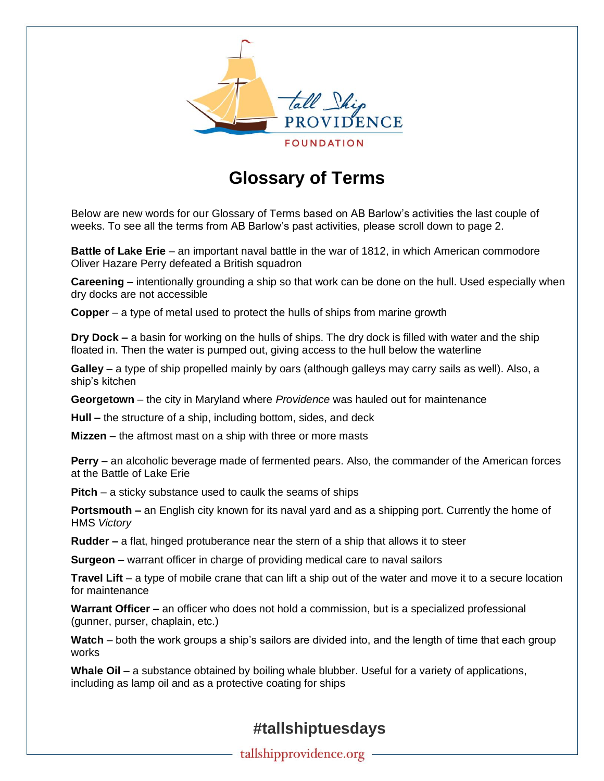

## **Glossary of Terms**

Below are new words for our Glossary of Terms based on AB Barlow's activities the last couple of weeks. To see all the terms from AB Barlow's past activities, please scroll down to page 2.

**Battle of Lake Erie** – an important naval battle in the war of 1812, in which American commodore Oliver Hazare Perry defeated a British squadron

**Careening** – intentionally grounding a ship so that work can be done on the hull. Used especially when dry docks are not accessible

**Copper** – a type of metal used to protect the hulls of ships from marine growth

**Dry Dock –** a basin for working on the hulls of ships. The dry dock is filled with water and the ship floated in. Then the water is pumped out, giving access to the hull below the waterline

**Galley** – a type of ship propelled mainly by oars (although galleys may carry sails as well). Also, a ship's kitchen

**Georgetown** – the city in Maryland where *Providence* was hauled out for maintenance

**Hull –** the structure of a ship, including bottom, sides, and deck

**Mizzen** – the aftmost mast on a ship with three or more masts

**Perry** – an alcoholic beverage made of fermented pears. Also, the commander of the American forces at the Battle of Lake Erie

**Pitch** – a sticky substance used to caulk the seams of ships

**Portsmouth –** an English city known for its naval yard and as a shipping port. Currently the home of HMS *Victory*

**Rudder –** a flat, hinged protuberance near the stern of a ship that allows it to steer

**Surgeon** – warrant officer in charge of providing medical care to naval sailors

**Travel Lift** – a type of mobile crane that can lift a ship out of the water and move it to a secure location for maintenance

**Warrant Officer –** an officer who does not hold a commission, but is a specialized professional (gunner, purser, chaplain, etc.)

**Watch** – both the work groups a ship's sailors are divided into, and the length of time that each group works

**Whale Oil** – a substance obtained by boiling whale blubber. Useful for a variety of applications, including as lamp oil and as a protective coating for ships

## **#tallshiptuesdays**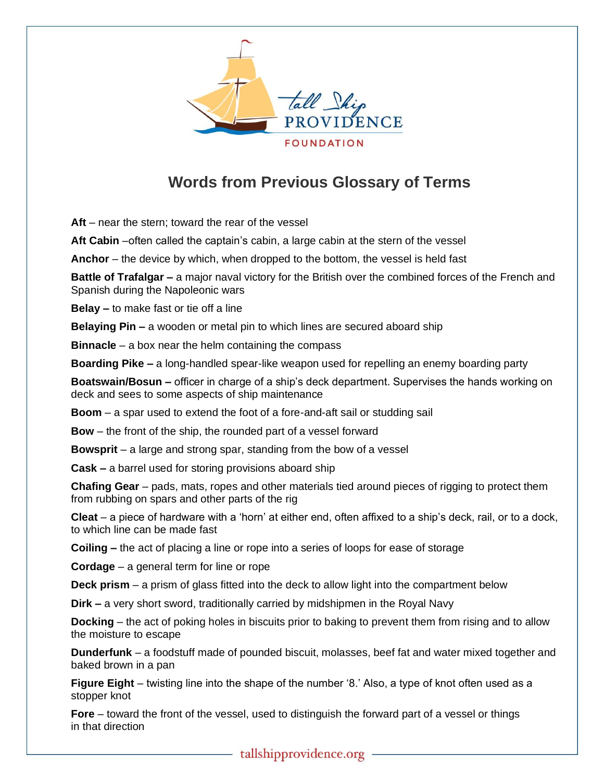

## **Words from Previous Glossary of Terms**

**Aft** – near the stern; toward the rear of the vessel

**Aft Cabin** –often called the captain's cabin, a large cabin at the stern of the vessel

**Anchor** – the device by which, when dropped to the bottom, the vessel is held fast

**Battle of Trafalgar –** a major naval victory for the British over the combined forces of the French and Spanish during the Napoleonic wars

**Belay –** to make fast or tie off a line

**Belaying Pin –** a wooden or metal pin to which lines are secured aboard ship

**Binnacle** – a box near the helm containing the compass

**Boarding Pike –** a long-handled spear-like weapon used for repelling an enemy boarding party

**Boatswain/Bosun –** officer in charge of a ship's deck department. Supervises the hands working on deck and sees to some aspects of ship maintenance

**Boom** – a spar used to extend the foot of a fore-and-aft sail or studding sail

**Bow** – the front of the ship, the rounded part of a vessel forward

**Bowsprit** – a large and strong spar, standing from the bow of a vessel

**Cask –** a barrel used for storing provisions aboard ship

**Chafing Gear** – pads, mats, ropes and other materials tied around pieces of rigging to protect them from rubbing on spars and other parts of the rig

**Cleat** – a piece of hardware with a 'horn' at either end, often affixed to a ship's deck, rail, or to a dock, to which line can be made fast

**Coiling –** the act of placing a line or rope into a series of loops for ease of storage

**Cordage** – a general term for line or rope

**Deck prism** – a prism of glass fitted into the deck to allow light into the compartment below

**Dirk –** a very short sword, traditionally carried by midshipmen in the Royal Navy

**Docking** – the act of poking holes in biscuits prior to baking to prevent them from rising and to allow the moisture to escape

**Dunderfunk** – a foodstuff made of pounded biscuit, molasses, beef fat and water mixed together and baked brown in a pan

**Figure Eight** – twisting line into the shape of the number '8.' Also, a type of knot often used as a stopper knot

**Fore** – toward the front of the vessel, used to distinguish the forward part of a vessel or things in that direction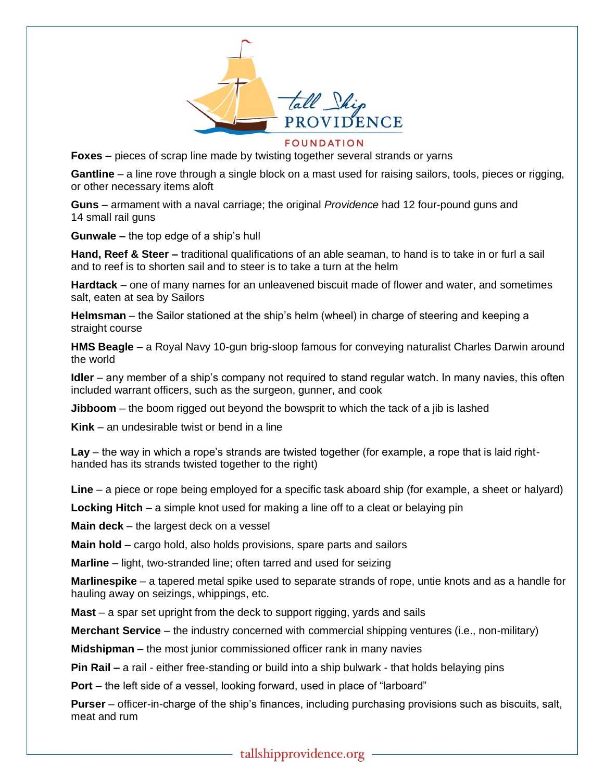

**FOUNDATION** 

**Foxes –** pieces of scrap line made by twisting together several strands or yarns

**Gantline** – a line rove through a single block on a mast used for raising sailors, tools, pieces or rigging, or other necessary items aloft

**Guns** – armament with a naval carriage; the original *Providence* had 12 four-pound guns and 14 small rail guns

**Gunwale –** the top edge of a ship's hull

**Hand, Reef & Steer –** traditional qualifications of an able seaman, to hand is to take in or furl a sail and to reef is to shorten sail and to steer is to take a turn at the helm

**Hardtack** – one of many names for an unleavened biscuit made of flower and water, and sometimes salt, eaten at sea by Sailors

**Helmsman** – the Sailor stationed at the ship's helm (wheel) in charge of steering and keeping a straight course

**HMS Beagle** – a Royal Navy 10-gun brig-sloop famous for conveying naturalist Charles Darwin around the world

**Idler** – any member of a ship's company not required to stand regular watch. In many navies, this often included warrant officers, such as the surgeon, gunner, and cook

**Jibboom** – the boom rigged out beyond the bowsprit to which the tack of a jib is lashed

**Kink** – an undesirable twist or bend in a line

**Lay** – the way in which a rope's strands are twisted together (for example, a rope that is laid righthanded has its strands twisted together to the right)

**Line** – a piece or rope being employed for a specific task aboard ship (for example, a sheet or halyard)

**Locking Hitch** – a simple knot used for making a line off to a cleat or belaying pin

**Main deck** – the largest deck on a vessel

**Main hold** – cargo hold, also holds provisions, spare parts and sailors

**Marline** – light, two-stranded line; often tarred and used for seizing

**Marlinespike** – a tapered metal spike used to separate strands of rope, untie knots and as a handle for hauling away on seizings, whippings, etc.

**Mast** – a spar set upright from the deck to support rigging, yards and sails

**Merchant Service** – the industry concerned with commercial shipping ventures (i.e., non-military)

**Midshipman** – the most junior commissioned officer rank in many navies

**Pin Rail –** a rail - either free-standing or build into a ship bulwark - that holds belaying pins

**Port** – the left side of a vessel, looking forward, used in place of "larboard"

**Purser** – officer-in-charge of the ship's finances, including purchasing provisions such as biscuits, salt, meat and rum